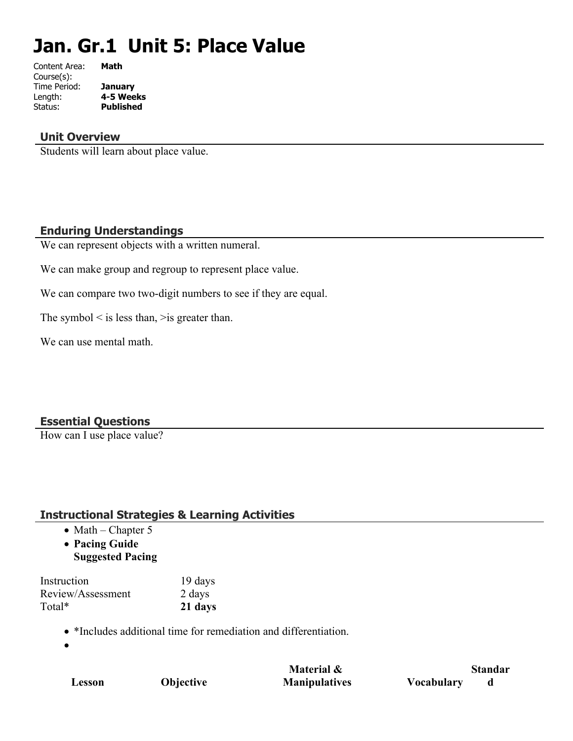# **Jan. Gr.1 Unit 5: Place Value**

| Content Area: | Math             |
|---------------|------------------|
| Course(s):    |                  |
| Time Period:  | January          |
| Length:       | 4-5 Weeks        |
| Status:       | <b>Published</b> |
|               |                  |

#### **Unit Overview**

Students will learn about place value.

## **Enduring Understandings**

We can represent objects with a written numeral.

We can make group and regroup to represent place value.

We can compare two two-digit numbers to see if they are equal.

The symbol  $\leq$  is less than,  $\geq$  is greater than.

We can use mental math.

## **Essential Questions**

How can I use place value?

## **Instructional Strategies & Learning Activities**

- $\bullet$  Math Chapter 5
- **Pacing Guide**
- **Suggested Pacing**

| Instruction       | 19 days |
|-------------------|---------|
| Review/Assessment | 2 days  |
| Total*            | 21 days |

- \*Includes additional time for remediation and differentiation.
- $\bullet$

|        |           | Material &           | <b>Standar</b>    |
|--------|-----------|----------------------|-------------------|
| Lesson | Objective | <b>Manipulatives</b> | <b>Vocabulary</b> |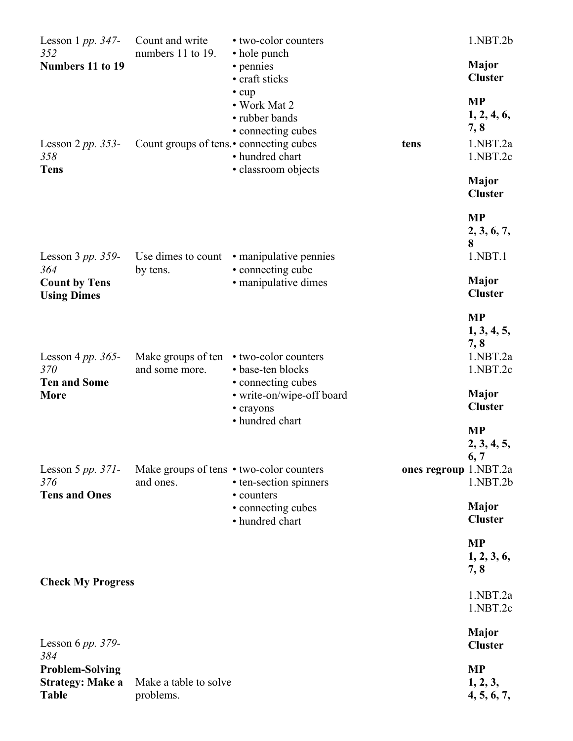| Lesson 1 pp. $347-$<br>352                                        | Count and write<br>numbers 11 to 19.                  | • two-color counters                                                                           | 1.NBT.2b                                                 |
|-------------------------------------------------------------------|-------------------------------------------------------|------------------------------------------------------------------------------------------------|----------------------------------------------------------|
| Numbers 11 to 19                                                  |                                                       | • hole punch<br>• pennies<br>• craft sticks                                                    | <b>Major</b><br><b>Cluster</b>                           |
| Lesson $2 pp. 353$ -<br>358                                       | Count groups of tens. • connecting cubes              | $\cdot$ cup<br>• Work Mat 2<br>• rubber bands<br>• connecting cubes<br>tens<br>• hundred chart | <b>MP</b><br>1, 2, 4, 6,<br>7, 8<br>1.NBT.2a<br>1.NBT.2c |
| <b>Tens</b>                                                       |                                                       | · classroom objects                                                                            | <b>Major</b><br><b>Cluster</b>                           |
| Lesson 3 pp. 359-                                                 |                                                       | Use dimes to count • manipulative pennies                                                      | <b>MP</b><br>2, 3, 6, 7,<br>8<br>1.NBT.1                 |
| 364<br><b>Count by Tens</b><br><b>Using Dimes</b>                 | by tens.                                              | • connecting cube<br>· manipulative dimes                                                      | <b>Major</b><br><b>Cluster</b>                           |
| Lesson 4 pp. $365-$<br>370<br><b>Ten and Some</b>                 | Make groups of ten<br>and some more.                  | • two-color counters<br>• base-ten blocks                                                      | <b>MP</b><br>1, 3, 4, 5,<br>7,8<br>1.NBT.2a<br>1.NBT.2c  |
| <b>More</b>                                                       |                                                       | • connecting cubes<br>• write-on/wipe-off board<br>• crayons                                   | <b>Major</b><br><b>Cluster</b>                           |
|                                                                   |                                                       | • hundred chart                                                                                | <b>MP</b><br>2, 3, 4, 5,<br>6, 7                         |
| Lesson 5 $pp. 371$ -<br>376<br><b>Tens and Ones</b>               | Make groups of tens • two-color counters<br>and ones. | ones regroup 1.NBT.2a<br>• ten-section spinners<br>• counters                                  | 1.NBT.2b                                                 |
|                                                                   |                                                       | • connecting cubes<br>• hundred chart                                                          | <b>Major</b><br><b>Cluster</b>                           |
|                                                                   |                                                       |                                                                                                | <b>MP</b><br>1, 2, 3, 6,<br>7, 8                         |
| <b>Check My Progress</b>                                          |                                                       |                                                                                                | 1.NBT.2a<br>1.NBT.2c                                     |
| Lesson 6 pp. $379-$<br>384                                        |                                                       |                                                                                                | <b>Major</b><br><b>Cluster</b>                           |
| <b>Problem-Solving</b><br><b>Strategy: Make a</b><br><b>Table</b> | Make a table to solve<br>problems.                    |                                                                                                | <b>MP</b><br>1, 2, 3,<br>4, 5, 6, 7,                     |
|                                                                   |                                                       |                                                                                                |                                                          |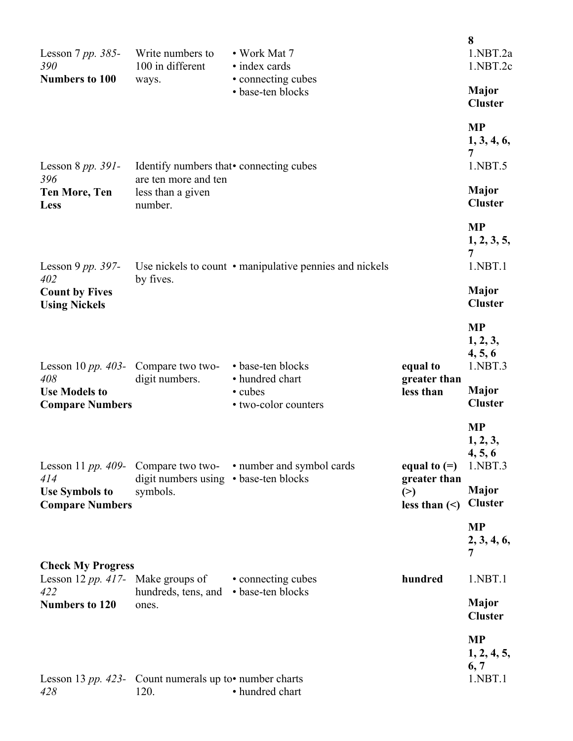| Lesson $7 pp. 385$ -<br>390                                   | Write numbers to<br>100 in different                                   | • Work Mat 7<br>• index cards                           |                                           | 8<br>1.NBT.2a<br>1.NBT.2c                   |
|---------------------------------------------------------------|------------------------------------------------------------------------|---------------------------------------------------------|-------------------------------------------|---------------------------------------------|
| <b>Numbers to 100</b>                                         | ways.                                                                  | • connecting cubes<br>• base-ten blocks                 |                                           | Major<br><b>Cluster</b>                     |
| Lesson 8 $pp.$ 391-                                           | Identify numbers that • connecting cubes                               |                                                         |                                           | <b>MP</b><br>1, 3, 4, 6,<br>7<br>1.NBT.5    |
| 396<br><b>Ten More, Ten</b><br>Less                           | are ten more and ten<br>less than a given<br>number.                   |                                                         |                                           | <b>Major</b><br><b>Cluster</b>              |
| Lesson 9 pp. $397-$                                           |                                                                        | Use nickels to count • manipulative pennies and nickels |                                           | <b>MP</b><br>1, 2, 3, 5,<br>7<br>1.NBT.1    |
| 402<br><b>Count by Fives</b><br><b>Using Nickels</b>          | by fives.                                                              |                                                         |                                           | <b>Major</b><br><b>Cluster</b>              |
| Lesson 10 pp. 403- Compare two two-                           |                                                                        | • base-ten blocks                                       | equal to                                  | <b>MP</b><br>1, 2, 3,<br>4, 5, 6<br>1.NBT.3 |
| 408<br><b>Use Models to</b><br><b>Compare Numbers</b>         | digit numbers.                                                         | • hundred chart<br>• cubes<br>• two-color counters      | greater than<br>less than                 | <b>Major</b><br><b>Cluster</b>              |
| Lesson 11 $pp.$ 409- Compare two two-<br>414                  | digit numbers using • base-ten blocks                                  | • number and symbol cards                               | equal to $(=)$                            | <b>MP</b><br>1, 2, 3,<br>4, 5, 6<br>1.NBT.3 |
| <b>Use Symbols to</b><br><b>Compare Numbers</b>               | symbols.                                                               |                                                         | greater than<br>(>)<br>less than $(\leq)$ | <b>Major</b><br><b>Cluster</b>              |
|                                                               |                                                                        |                                                         |                                           | <b>MP</b><br>2, 3, 4, 6,<br>7               |
| <b>Check My Progress</b><br>Lesson 12 pp. 417- Make groups of |                                                                        | • connecting cubes                                      | hundred                                   | 1.NBT.1                                     |
| 422<br><b>Numbers to 120</b>                                  | hundreds, tens, and<br>ones.                                           | • base-ten blocks                                       |                                           | <b>Major</b><br><b>Cluster</b>              |
| 428                                                           | Lesson 13 <i>pp.</i> 423- Count numerals up to • number charts<br>120. | • hundred chart                                         |                                           | <b>MP</b><br>1, 2, 4, 5,<br>6, 7<br>1.NBT.1 |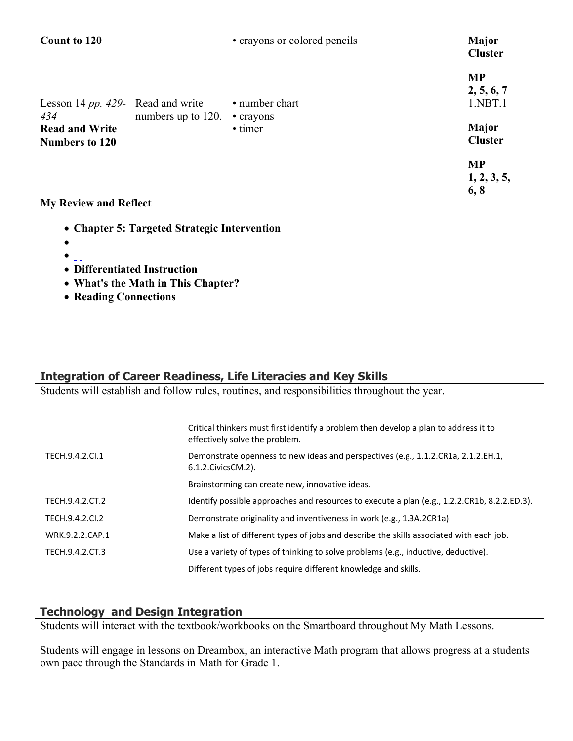| <b>Count to 120</b>                                                                        |                    | • crayons or colored pencils           | <b>Major</b><br><b>Cluster</b>                                |
|--------------------------------------------------------------------------------------------|--------------------|----------------------------------------|---------------------------------------------------------------|
| Lesson 14 pp. 429- Read and write<br>434<br><b>Read and Write</b><br><b>Numbers to 120</b> | numbers up to 120. | • number chart<br>• crayons<br>• timer | <b>MP</b><br>2, 5, 6, 7<br>1.NBT.1<br>Major<br><b>Cluster</b> |
| My Daview and Deflect                                                                      |                    |                                        | <b>MP</b><br>1, 2, 3, 5,<br>6, 8                              |

- **My Review and Reflect**
	- **Chapter 5: Targeted Strategic Intervention**
	- $\bullet$
	- $\bullet$  ...
	- **Differentiated Instruction**
	- **What's the Math in This Chapter?**
	- **Reading Connections**

# **Integration of Career Readiness, Life Literacies and Key Skills**

Students will establish and follow rules, routines, and responsibilities throughout the year.

|                 | Critical thinkers must first identify a problem then develop a plan to address it to<br>effectively solve the problem. |
|-----------------|------------------------------------------------------------------------------------------------------------------------|
| TECH.9.4.2.CI.1 | Demonstrate openness to new ideas and perspectives (e.g., 1.1.2.CR1a, 2.1.2.EH.1,<br>6.1.2. Civics CM. 2).             |
|                 | Brainstorming can create new, innovative ideas.                                                                        |
| TECH.9.4.2.CT.2 | Identify possible approaches and resources to execute a plan (e.g., 1.2.2.CR1b, 8.2.2.ED.3).                           |
| TECH.9.4.2.CI.2 | Demonstrate originality and inventiveness in work (e.g., 1.3A.2CR1a).                                                  |
| WRK.9.2.2.CAP.1 | Make a list of different types of jobs and describe the skills associated with each job.                               |
| TECH.9.4.2.CT.3 | Use a variety of types of thinking to solve problems (e.g., inductive, deductive).                                     |
|                 | Different types of jobs require different knowledge and skills.                                                        |

# **Technology and Design Integration**

Students will interact with the textbook/workbooks on the Smartboard throughout My Math Lessons.

Students will engage in lessons on Dreambox, an interactive Math program that allows progress at a students own pace through the Standards in Math for Grade 1.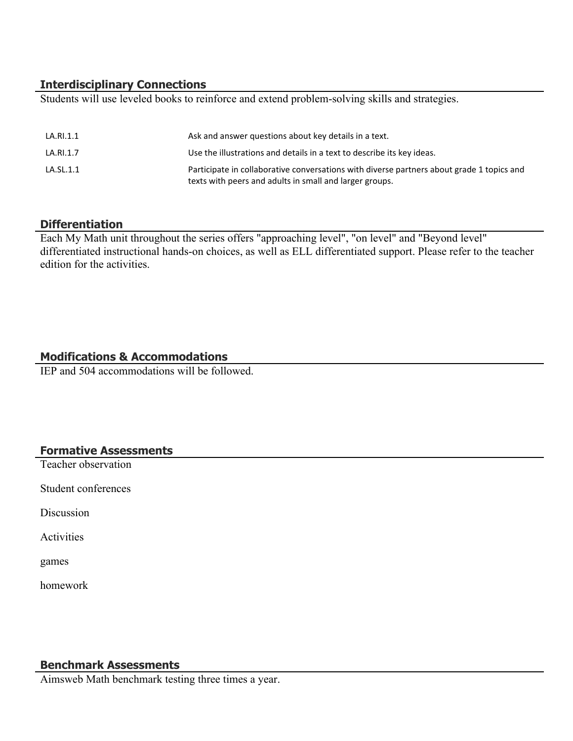# **Interdisciplinary Connections**

Students will use leveled books to reinforce and extend problem-solving skills and strategies.

| LA.RI.1.1 | Ask and answer questions about key details in a text.                                                                                                |
|-----------|------------------------------------------------------------------------------------------------------------------------------------------------------|
| LA.RI.1.7 | Use the illustrations and details in a text to describe its key ideas.                                                                               |
| LA.SL.1.1 | Participate in collaborative conversations with diverse partners about grade 1 topics and<br>texts with peers and adults in small and larger groups. |

#### **Differentiation**

Each My Math unit throughout the series offers "approaching level", "on level" and "Beyond level" differentiated instructional hands-on choices, as well as ELL differentiated support. Please refer to the teacher edition for the activities.

# **Modifications & Accommodations**

IEP and 504 accommodations will be followed.

## **Formative Assessments**

Teacher observation

Student conferences

Discussion

Activities

games

homework

#### **Benchmark Assessments**

Aimsweb Math benchmark testing three times a year.